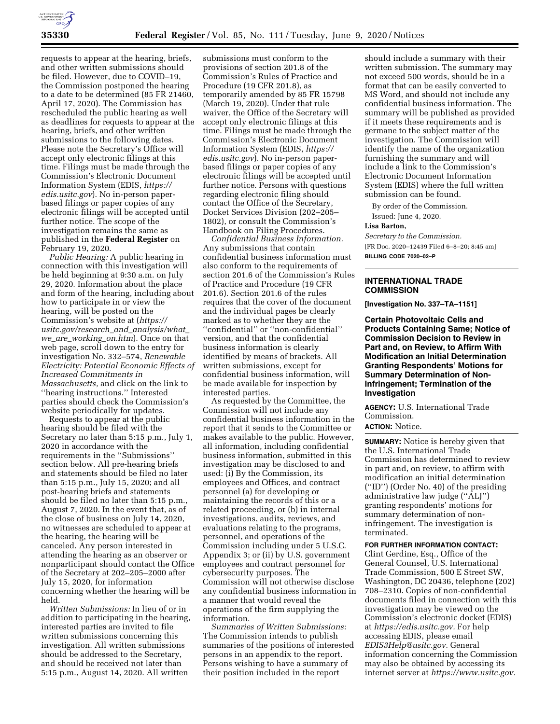

requests to appear at the hearing, briefs, and other written submissions should be filed. However, due to COVID–19, the Commission postponed the hearing to a date to be determined (85 FR 21460, April 17, 2020). The Commission has rescheduled the public hearing as well as deadlines for requests to appear at the hearing, briefs, and other written submissions to the following dates. Please note the Secretary's Office will accept only electronic filings at this time. Filings must be made through the Commission's Electronic Document Information System (EDIS, *[https://](https://edis.usitc.gov) [edis.usitc.gov](https://edis.usitc.gov)*). No in-person paperbased filings or paper copies of any electronic filings will be accepted until further notice. The scope of the investigation remains the same as published in the **Federal Register** on February 19, 2020.

*Public Hearing:* A public hearing in connection with this investigation will be held beginning at 9:30 a.m. on July 29, 2020. Information about the place and form of the hearing, including about how to participate in or view the hearing, will be posted on the Commission's website at (*[https://](https://usitc.gov/research_and_analysis/what_we_are_working_on.htm) [usitc.gov/research](https://usitc.gov/research_and_analysis/what_we_are_working_on.htm)*\_*and*\_*analysis/what*\_ *we*\_*are*\_*[working](https://usitc.gov/research_and_analysis/what_we_are_working_on.htm)*\_*on.htm*). Once on that web page, scroll down to the entry for investigation No. 332–574, *Renewable Electricity: Potential Economic Effects of Increased Commitments in Massachusetts,* and click on the link to ''hearing instructions.'' Interested parties should check the Commission's

website periodically for updates. Requests to appear at the public hearing should be filed with the Secretary no later than 5:15 p.m., July 1, 2020 in accordance with the requirements in the ''Submissions'' section below. All pre-hearing briefs and statements should be filed no later than 5:15 p.m., July 15, 2020; and all post-hearing briefs and statements should be filed no later than 5:15 p.m., August 7, 2020. In the event that, as of the close of business on July 14, 2020, no witnesses are scheduled to appear at the hearing, the hearing will be canceled. Any person interested in attending the hearing as an observer or nonparticipant should contact the Office of the Secretary at 202–205–2000 after July 15, 2020, for information concerning whether the hearing will be held.

*Written Submissions:* In lieu of or in addition to participating in the hearing, interested parties are invited to file written submissions concerning this investigation. All written submissions should be addressed to the Secretary, and should be received not later than 5:15 p.m., August 14, 2020. All written

submissions must conform to the provisions of section 201.8 of the Commission's Rules of Practice and Procedure (19 CFR 201.8), as temporarily amended by 85 FR 15798 (March 19, 2020). Under that rule waiver, the Office of the Secretary will accept only electronic filings at this time. Filings must be made through the Commission's Electronic Document Information System (EDIS, *[https://](https://edis.usitc.gov) [edis.usitc.gov](https://edis.usitc.gov)*). No in-person paperbased filings or paper copies of any electronic filings will be accepted until further notice. Persons with questions regarding electronic filing should contact the Office of the Secretary, Docket Services Division (202–205– 1802), or consult the Commission's Handbook on Filing Procedures.

*Confidential Business Information.*  Any submissions that contain confidential business information must also conform to the requirements of section 201.6 of the Commission's Rules of Practice and Procedure (19 CFR 201.6). Section 201.6 of the rules requires that the cover of the document and the individual pages be clearly marked as to whether they are the ''confidential'' or ''non-confidential'' version, and that the confidential business information is clearly identified by means of brackets. All written submissions, except for confidential business information, will be made available for inspection by interested parties.

As requested by the Committee, the Commission will not include any confidential business information in the report that it sends to the Committee or makes available to the public. However, all information, including confidential business information, submitted in this investigation may be disclosed to and used: (i) By the Commission, its employees and Offices, and contract personnel (a) for developing or maintaining the records of this or a related proceeding, or (b) in internal investigations, audits, reviews, and evaluations relating to the programs, personnel, and operations of the Commission including under 5 U.S.C. Appendix 3; or (ii) by U.S. government employees and contract personnel for cybersecurity purposes. The Commission will not otherwise disclose any confidential business information in a manner that would reveal the operations of the firm supplying the information.

*Summaries of Written Submissions:*  The Commission intends to publish summaries of the positions of interested persons in an appendix to the report. Persons wishing to have a summary of their position included in the report

should include a summary with their written submission. The summary may not exceed 500 words, should be in a format that can be easily converted to MS Word, and should not include any confidential business information. The summary will be published as provided if it meets these requirements and is germane to the subject matter of the investigation. The Commission will identify the name of the organization furnishing the summary and will include a link to the Commission's Electronic Document Information System (EDIS) where the full written submission can be found.

By order of the Commission. Issued: June 4, 2020.

#### **Lisa Barton,**

*Secretary to the Commission.*  [FR Doc. 2020–12439 Filed 6–8–20; 8:45 am] **BILLING CODE 7020–02–P** 

## **INTERNATIONAL TRADE COMMISSION**

**[Investigation No. 337–TA–1151]** 

**Certain Photovoltaic Cells and Products Containing Same; Notice of Commission Decision to Review in Part and, on Review, to Affirm With Modification an Initial Determination Granting Respondents' Motions for Summary Determination of Non-Infringement; Termination of the Investigation** 

**AGENCY:** U.S. International Trade Commission.

### **ACTION:** Notice.

**SUMMARY:** Notice is hereby given that the U.S. International Trade Commission has determined to review in part and, on review, to affirm with modification an initial determination (''ID'') (Order No. 40) of the presiding administrative law judge (''ALJ'') granting respondents' motions for summary determination of noninfringement. The investigation is terminated.

### **FOR FURTHER INFORMATION CONTACT:**

Clint Gerdine, Esq., Office of the General Counsel, U.S. International Trade Commission, 500 E Street SW, Washington, DC 20436, telephone (202) 708–2310. Copies of non-confidential documents filed in connection with this investigation may be viewed on the Commission's electronic docket (EDIS) at *[https://edis.usitc.gov.](https://edis.usitc.gov)* For help accessing EDIS, please email *[EDIS3Help@usitc.gov.](mailto:EDIS3Help@usitc.gov)* General information concerning the Commission may also be obtained by accessing its internet server at *[https://www.usitc.gov.](https://www.usitc.gov)*